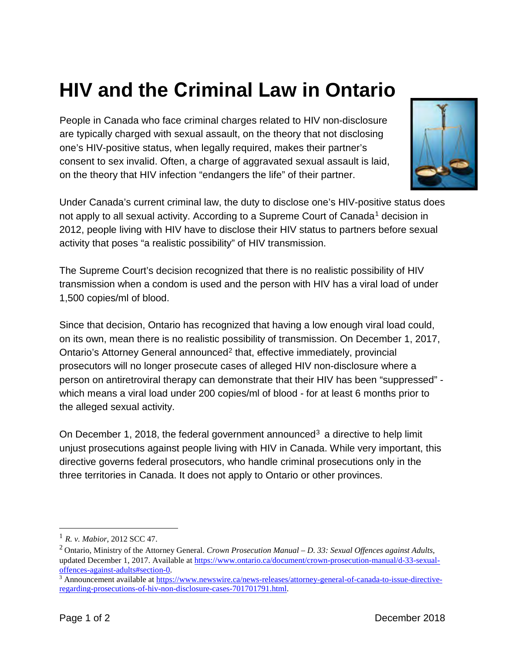## **HIV and the Criminal Law in Ontario**

People in Canada who face criminal charges related to HIV non-disclosure are typically charged with sexual assault, on the theory that not disclosing one's HIV-positive status, when legally required, makes their partner's consent to sex invalid. Often, a charge of aggravated sexual assault is laid, on the theory that HIV infection "endangers the life" of their partner.



Under Canada's current criminal law, the duty to disclose one's HIV-positive status does not apply to all sexual activity. According to a Supreme Court of Canada<sup>[1](#page-0-0)</sup> decision in 2012, people living with HIV have to disclose their HIV status to partners before sexual activity that poses "a realistic possibility" of HIV transmission.

The Supreme Court's decision recognized that there is no realistic possibility of HIV transmission when a condom is used and the person with HIV has a viral load of under 1,500 copies/ml of blood.

Since that decision, Ontario has recognized that having a low enough viral load could, on its own, mean there is no realistic possibility of transmission. On December 1, 2017, Ontario's Attorney General announced<sup>[2](#page-0-1)</sup> that, effective immediately, provincial prosecutors will no longer prosecute cases of alleged HIV non-disclosure where a person on antiretroviral therapy can demonstrate that their HIV has been "suppressed" which means a viral load under 200 copies/ml of blood - for at least 6 months prior to the alleged sexual activity.

On December 1, 2018, the federal government announced<sup>[3](#page-0-2)</sup> a directive to help limit unjust prosecutions against people living with HIV in Canada. While very important, this directive governs federal prosecutors, who handle criminal prosecutions only in the three territories in Canada. It does not apply to Ontario or other provinces.

<span id="page-0-0"></span><sup>1</sup> *R. v. Mabior*, 2012 SCC 47.

<span id="page-0-1"></span><sup>2</sup> Ontario, Ministry of the Attorney General. *Crown Prosecution Manual – D. 33: Sexual Offences against Adults*, updated December 1, 2017. Available at [https://www.ontario.ca/document/crown-prosecution-manual/d-33-sexual](https://www.ontario.ca/document/crown-prosecution-manual/d-33-sexual-offences-against-adults#section-0)offences-against-adults#section-0.<br><sup>3</sup> Announcement available at [https://www.newswire.ca/news-releases/attorney-general-of-canada-to-issue-directive-](https://www.newswire.ca/news-releases/attorney-general-of-canada-to-issue-directive-regarding-prosecutions-of-hiv-non-disclosure-cases-701701791.html)

<span id="page-0-2"></span>[regarding-prosecutions-of-hiv-non-disclosure-cases-701701791.html.](https://www.newswire.ca/news-releases/attorney-general-of-canada-to-issue-directive-regarding-prosecutions-of-hiv-non-disclosure-cases-701701791.html)